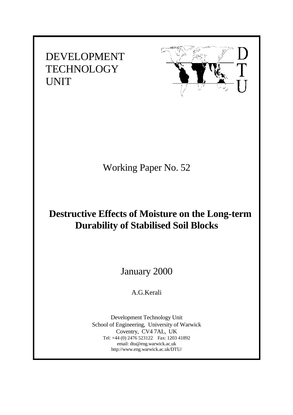DEVELOPMENT **TECHNOLOGY** UNIT



# Working Paper No. 52

# **Destructive Effects of Moisture on the Long-term Durability of Stabilised Soil Blocks**

January 2000

A.G.Kerali

Development Technology Unit School of Engineering, University of Warwick Coventry, CV4 7AL, UK Tel: +44 (0) 2476 523122 Fax: 1203 41892 email: dtu@eng.warwick.ac.uk http://www.eng.warwick.ac.uk/DTU/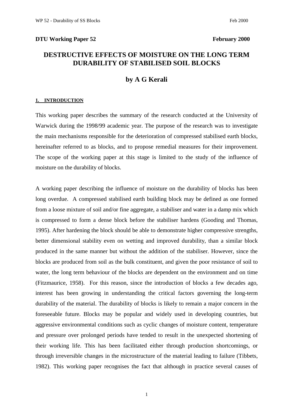#### **DTU Working Paper 52** February 2000

# **DESTRUCTIVE EFFECTS OF MOISTURE ON THE LONG TERM DURABILITY OF STABILISED SOIL BLOCKS**

# **by A G Kerali**

#### **1. INTRODUCTION**

This working paper describes the summary of the research conducted at the University of Warwick during the 1998/99 academic year. The purpose of the research was to investigate the main mechanisms responsible for the deterioration of compressed stabilised earth blocks, hereinafter referred to as blocks, and to propose remedial measures for their improvement. The scope of the working paper at this stage is limited to the study of the influence of moisture on the durability of blocks.

A working paper describing the influence of moisture on the durability of blocks has been long overdue. A compressed stabilised earth building block may be defined as one formed from a loose mixture of soil and/or fine aggregate, a stabiliser and water in a damp mix which is compressed to form a dense block before the stabiliser hardens (Gooding and Thomas, 1995). After hardening the block should be able to demonstrate higher compressive strengths, better dimensional stability even on wetting and improved durability, than a similar block produced in the same manner but without the addition of the stabiliser. However, since the blocks are produced from soil as the bulk constituent, and given the poor resistance of soil to water, the long term behaviour of the blocks are dependent on the environment and on time (Fitzmaurice, 1958). For this reason, since the introduction of blocks a few decades ago, interest has been growing in understanding the critical factors governing the long-term durability of the material. The durability of blocks is likely to remain a major concern in the foreseeable future. Blocks may be popular and widely used in developing countries, but aggressive environmental conditions such as cyclic changes of moisture content, temperature and pressure over prolonged periods have tended to result in the unexpected shortening of their working life. This has been facilitated either through production shortcomings, or through irreversible changes in the microstructure of the material leading to failure (Tibbets, 1982). This working paper recognises the fact that although in practice several causes of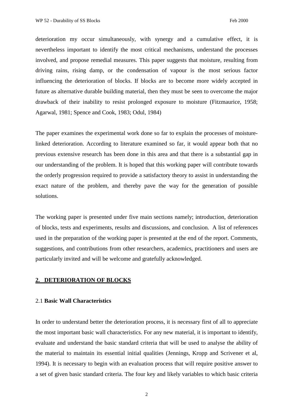deterioration my occur simultaneously, with synergy and a cumulative effect, it is nevertheless important to identify the most critical mechanisms, understand the processes involved, and propose remedial measures. This paper suggests that moisture, resulting from driving rains, rising damp, or the condensation of vapour is the most serious factor influencing the deterioration of blocks. If blocks are to become more widely accepted in future as alternative durable building material, then they must be seen to overcome the major drawback of their inability to resist prolonged exposure to moisture (Fitzmaurice, 1958; Agarwal, 1981; Spence and Cook, 1983; Odul, 1984)

The paper examines the experimental work done so far to explain the processes of moisturelinked deterioration. According to literature examined so far, it would appear both that no previous extensive research has been done in this area and that there is a substantial gap in our understanding of the problem. It is hoped that this working paper will contribute towards the orderly progression required to provide a satisfactory theory to assist in understanding the exact nature of the problem, and thereby pave the way for the generation of possible solutions.

The working paper is presented under five main sections namely; introduction, deterioration of blocks, tests and experiments, results and discussions, and conclusion. A list of references used in the preparation of the working paper is presented at the end of the report. Comments, suggestions, and contributions from other researchers, academics, practitioners and users are particularly invited and will be welcome and gratefully acknowledged.

### **2. DETERIORATION OF BLOCKS**

## 2.1 **Basic Wall Characteristics**

In order to understand better the deterioration process, it is necessary first of all to appreciate the most important basic wall characteristics. For any new material, it is important to identify, evaluate and understand the basic standard criteria that will be used to analyse the ability of the material to maintain its essential initial qualities (Jennings, Kropp and Scrivener et al, 1994). It is necessary to begin with an evaluation process that will require positive answer to a set of given basic standard criteria. The four key and likely variables to which basic criteria

2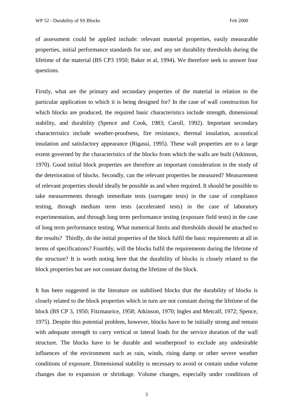of assessment could be applied include: relevant material properties, easily measurable properties, initial performance standards for use, and any set durability thresholds during the lifetime of the material (BS CP3 1950; Baker et al, 1994). We therefore seek to answer four questions.

Firstly, what are the primary and secondary properties of the material in relation to the particular application to which it is being designed for? In the case of wall construction for which blocks are produced, the required basic characteristics include strength, dimensional stability, and durability (Spence and Cook, 1983; Caroll, 1992). Important secondary characteristics include weather-proofness, fire resistance, thermal insulation, acoustical insulation and satisfactory appearance (Rigassi, 1995). These wall properties are to a large extent governed by the characteristics of the blocks from which the walls are built (Atkinson, 1970). Good initial block properties are therefore an important consideration in the study of the deterioration of blocks. Secondly, can the relevant properties be measured? Measurement of relevant properties should ideally be possible as and when required. It should be possible to take measurements through immediate tests (surrogate tests) in the case of compliance testing, through medium term tests (accelerated tests) in the case of laboratory experimentation, and through long term performance testing (exposure field tests) in the case of long term performance testing. What numerical limits and thresholds should be attached to the results? Thirdly, do the initial properties of the block fulfil the basic requirements at all in terms of specifications? Fourthly, will the blocks fulfil the requirements during the lifetime of the structure? It is worth noting here that the durability of blocks is closely related to the block properties but are not constant during the lifetime of the block.

It has been suggested in the literature on stabilised blocks that the durability of blocks is closely related to the block properties which in turn are not constant during the lifetime of the block (BS CP 3, 1950; Fitzmaurice, 1958; Atkinson, 1970; Ingles and Metcalf, 1972; Spence, 1975). Despite this potential problem, however, blocks have to be initially strong and remain with adequate strength to carry vertical or lateral loads for the service duration of the wall structure. The blocks have to be durable and weatherproof to exclude any undesirable influences of the environment such as rain, winds, rising damp or other severe weather conditions of exposure. Dimensional stability is necessary to avoid or contain undue volume changes due to expansion or shrinkage. Volume changes, especially under conditions of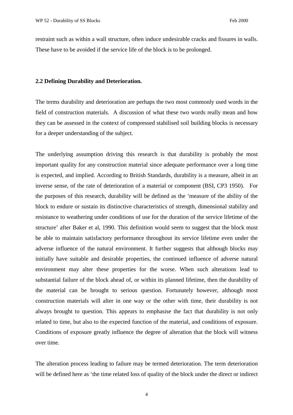restraint such as within a wall structure, often induce undesirable cracks and fissures in walls. These have to be avoided if the service life of the block is to be prolonged.

#### **2.2 Defining Durability and Deterioration.**

The terms durability and deterioration are perhaps the two most commonly used words in the field of construction materials. A discussion of what these two words really mean and how they can be assessed in the context of compressed stabilised soil building blocks is necessary for a deeper understanding of the subject.

The underlying assumption driving this research is that durability is probably the most important quality for any construction material since adequate performance over a long time is expected, and implied. According to British Standards, durability is a measure, albeit in an inverse sense, of the rate of deterioration of a material or component (BSI, CP3 1950). For the purposes of this research, durability will be defined as the 'measure of the ability of the block to endure or sustain its distinctive characteristics of strength, dimensional stability and resistance to weathering under conditions of use for the duration of the service lifetime of the structure' after Baker et al, 1990. This definition would seem to suggest that the block must be able to maintain satisfactory performance throughout its service lifetime even under the adverse influence of the natural environment. It further suggests that although blocks may initially have suitable and desirable properties, the continued influence of adverse natural environment may alter these properties for the worse. When such alterations lead to substantial failure of the block ahead of, or within its planned lifetime, then the durability of the material can be brought to serious question. Fortunately however, although most construction materials will alter in one way or the other with time, their durability is not always brought to question. This appears to emphasise the fact that durability is not only related to time, but also to the expected function of the material, and conditions of exposure. Conditions of exposure greatly influence the degree of alteration that the block will witness over time.

The alteration process leading to failure may be termed deterioration. The term deterioration will be defined here as 'the time related loss of quality of the block under the direct or indirect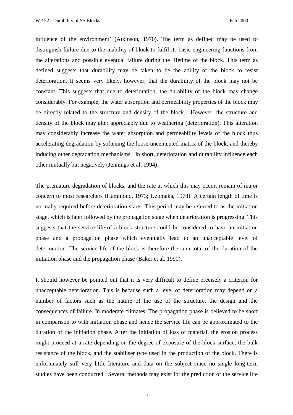influence of the environment' (Atkinson, 1970). The term as defined may be used to distinguish failure due to the inability of block to fulfil its basic engineering functions from the alterations and possible eventual failure during the lifetime of the block. This term as defined suggests that durability may be taken to be the ability of the block to resist deterioration. It seems very likely, however, that the durability of the block may not be constant. This suggests that due to deterioration, the durability of the block may change considerably. For example, the water absorption and permeability properties of the block may be directly related to the structure and density of the block. However, the structure and density of the block may alter appreciably due to weathering (deterioration). This alteration may considerably increase the water absorption and permeability levels of the block thus accelerating degradation by softening the loose uncemented matrix of the block, and thereby inducing other degradation mechanisms. In short, deterioration and durability influence each other mutually but negatively (Jennings et al, 1994).

The premature degradation of blocks, and the rate at which this may occur, remain of major concern to most researchers (Hammond, 1973; Uzomaka, 1978). A certain length of time is normally required before deterioration starts. This period may be referred to as the initiation stage, which is later followed by the propagation stage when deterioration is progressing. This suggests that the service life of a block structure could be considered to have an initiation phase and a propagation phase which eventually lead to an unacceptable level of deterioration. The service life of the block is therefore the sum total of the duration of the initiation phase and the propagation phase (Baker et al, 1990).

It should however be pointed out that it is very difficult to define precisely a criterion for unacceptable deterioration. This is because such a level of deterioration may depend on a number of factors such as the nature of the use of the structure, the design and the consequences of failure. In moderate climates, The propagation phase is believed to be short in comparison to with initiation phase and hence the service life can be approximated to the duration of the initiation phase. After the initiation of loss of material, the erosion process might proceed at a rate depending on the degree of exposure of the block surface, the bulk resistance of the block, and the stabiliser type used in the production of the block. There is unfortunately still very little literature and data on the subject since no single long-term studies have been conducted. Several methods may exist for the prediction of the service life

5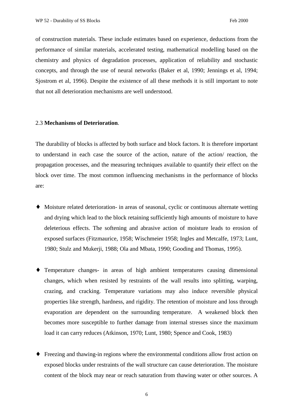of construction materials. These include estimates based on experience, deductions from the performance of similar materials, accelerated testing, mathematical modelling based on the chemistry and physics of degradation processes, application of reliability and stochastic concepts, and through the use of neural networks (Baker et al, 1990; Jennings et al, 1994; Sjostrom et al, 1996). Despite the existence of all these methods it is still important to note that not all deterioration mechanisms are well understood.

#### 2.3 **Mechanisms of Deterioration**.

The durability of blocks is affected by both surface and block factors. It is therefore important to understand in each case the source of the action, nature of the action/ reaction, the propagation processes, and the measuring techniques available to quantify their effect on the block over time. The most common influencing mechanisms in the performance of blocks are:

- ♦ Moisture related deterioration- in areas of seasonal, cyclic or continuous alternate wetting and drying which lead to the block retaining sufficiently high amounts of moisture to have deleterious effects. The softening and abrasive action of moisture leads to erosion of exposed surfaces (Fitzmaurice, 1958; Wischmeier 1958; Ingles and Metcalfe, 1973; Lunt, 1980; Stulz and Mukerji, 1988; Ola and Mbata, 1990; Gooding and Thomas, 1995).
- ♦ Temperature changes- in areas of high ambient temperatures causing dimensional changes, which when resisted by restraints of the wall results into splitting, warping, crazing, and cracking. Temperature variations may also induce reversible physical properties like strength, hardness, and rigidity. The retention of moisture and loss through evaporation are dependent on the surrounding temperature. A weakened block then becomes more susceptible to further damage from internal stresses since the maximum load it can carry reduces (Atkinson, 1970; Lunt, 1980; Spence and Cook, 1983)
- ♦ Freezing and thawing-in regions where the environmental conditions allow frost action on exposed blocks under restraints of the wall structure can cause deterioration. The moisture content of the block may near or reach saturation from thawing water or other sources. A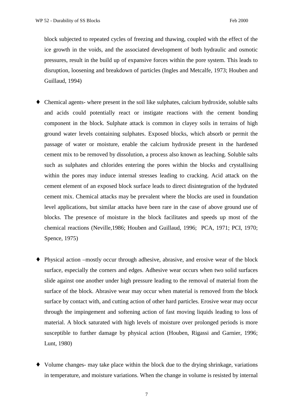block subjected to repeated cycles of freezing and thawing, coupled with the effect of the ice growth in the voids, and the associated development of both hydraulic and osmotic pressures, result in the build up of expansive forces within the pore system. This leads to disruption, loosening and breakdown of particles (Ingles and Metcalfe, 1973; Houben and Guillaud, 1994)

- ♦ Chemical agents- where present in the soil like sulphates, calcium hydroxide, soluble salts and acids could potentially react or instigate reactions with the cement bonding component in the block. Sulphate attack is common in clayey soils in terrains of high ground water levels containing sulphates. Exposed blocks, which absorb or permit the passage of water or moisture, enable the calcium hydroxide present in the hardened cement mix to be removed by dissolution, a process also known as leaching. Soluble salts such as sulphates and chlorides entering the pores within the blocks and crystallising within the pores may induce internal stresses leading to cracking. Acid attack on the cement element of an exposed block surface leads to direct disintegration of the hydrated cement mix. Chemical attacks may be prevalent where the blocks are used in foundation level applications, but similar attacks have been rare in the case of above ground use of blocks. The presence of moisture in the block facilitates and speeds up most of the chemical reactions (Neville,1986; Houben and Guillaud, 1996; PCA, 1971; PCI, 1970; Spence, 1975)
- ♦ Physical action –mostly occur through adhesive, abrasive, and erosive wear of the block surface, especially the corners and edges. Adhesive wear occurs when two solid surfaces slide against one another under high pressure leading to the removal of material from the surface of the block. Abrasive wear may occur when material is removed from the block surface by contact with, and cutting action of other hard particles. Erosive wear may occur through the impingement and softening action of fast moving liquids leading to loss of material. A block saturated with high levels of moisture over prolonged periods is more susceptible to further damage by physical action (Houben, Rigassi and Garnier, 1996; Lunt, 1980)
- ♦ Volume changes- may take place within the block due to the drying shrinkage, variations in temperature, and moisture variations. When the change in volume is resisted by internal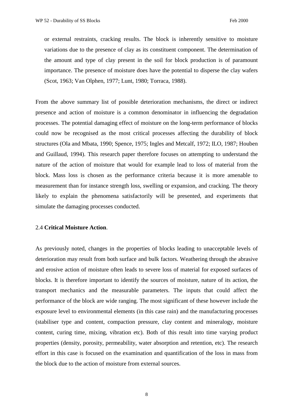or external restraints, cracking results. The block is inherently sensitive to moisture variations due to the presence of clay as its constituent component. The determination of the amount and type of clay present in the soil for block production is of paramount importance. The presence of moisture does have the potential to disperse the clay wafers (Scot, 1963; Van Olphen, 1977; Lunt, 1980; Torraca, 1988).

From the above summary list of possible deterioration mechanisms, the direct or indirect presence and action of moisture is a common denominator in influencing the degradation processes. The potential damaging effect of moisture on the long-term performance of blocks could now be recognised as the most critical processes affecting the durability of block structures (Ola and Mbata, 1990; Spence, 1975; Ingles and Metcalf, 1972; ILO, 1987; Houben and Guillaud, 1994). This research paper therefore focuses on attempting to understand the nature of the action of moisture that would for example lead to loss of material from the block. Mass loss is chosen as the performance criteria because it is more amenable to measurement than for instance strength loss, swelling or expansion, and cracking. The theory likely to explain the phenomena satisfactorily will be presented, and experiments that simulate the damaging processes conducted.

#### 2.4 **Critical Moisture Action**.

As previously noted, changes in the properties of blocks leading to unacceptable levels of deterioration may result from both surface and bulk factors. Weathering through the abrasive and erosive action of moisture often leads to severe loss of material for exposed surfaces of blocks. It is therefore important to identify the sources of moisture, nature of its action, the transport mechanics and the measurable parameters. The inputs that could affect the performance of the block are wide ranging. The most significant of these however include the exposure level to environmental elements (in this case rain) and the manufacturing processes (stabiliser type and content, compaction pressure, clay content and mineralogy, moisture content, curing time, mixing, vibration etc). Both of this result into time varying product properties (density, porosity, permeability, water absorption and retention, etc). The research effort in this case is focused on the examination and quantification of the loss in mass from the block due to the action of moisture from external sources.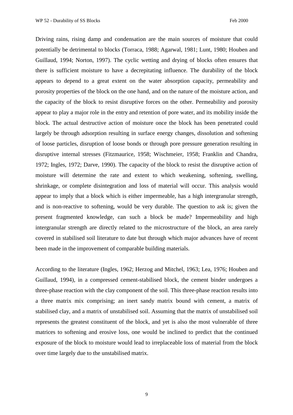Driving rains, rising damp and condensation are the main sources of moisture that could potentially be detrimental to blocks (Torraca, 1988; Agarwal, 1981; Lunt, 1980; Houben and Guillaud, 1994; Norton, 1997). The cyclic wetting and drying of blocks often ensures that there is sufficient moisture to have a decrepitating influence. The durability of the block appears to depend to a great extent on the water absorption capacity, permeability and porosity properties of the block on the one hand, and on the nature of the moisture action, and the capacity of the block to resist disruptive forces on the other. Permeability and porosity appear to play a major role in the entry and retention of pore water, and its mobility inside the block. The actual destructive action of moisture once the block has been penetrated could largely be through adsorption resulting in surface energy changes, dissolution and softening of loose particles, disruption of loose bonds or through pore pressure generation resulting in disruptive internal stresses (Fitzmaurice, 1958; Wischmeier, 1958; Franklin and Chandra, 1972; Ingles, 1972; Darve, 1990). The capacity of the block to resist the disruptive action of moisture will determine the rate and extent to which weakening, softening, swelling, shrinkage, or complete disintegration and loss of material will occur. This analysis would appear to imply that a block which is either impermeable, has a high intergranular strength, and is non-reactive to softening, would be very durable. The question to ask is; given the present fragmented knowledge, can such a block be made? Impermeability and high intergranular strength are directly related to the microstructure of the block, an area rarely covered in stabilised soil literature to date but through which major advances have of recent been made in the improvement of comparable building materials.

According to the literature (Ingles, 1962; Herzog and Mitchel, 1963; Lea, 1976; Houben and Guillaud, 1994), in a compressed cement-stabilised block, the cement binder undergoes a three-phase reaction with the clay component of the soil. This three-phase reaction results into a three matrix mix comprising; an inert sandy matrix bound with cement, a matrix of stabilised clay, and a matrix of unstabilised soil. Assuming that the matrix of unstabilised soil represents the greatest constituent of the block, and yet is also the most vulnerable of three matrices to softening and erosive loss, one would be inclined to predict that the continued exposure of the block to moisture would lead to irreplaceable loss of material from the block over time largely due to the unstabilised matrix.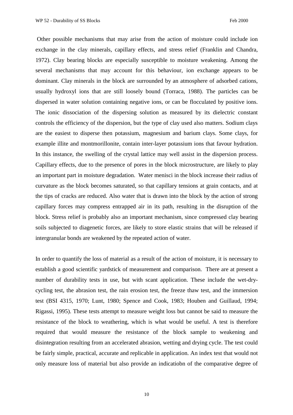Other possible mechanisms that may arise from the action of moisture could include ion exchange in the clay minerals, capillary effects, and stress relief (Franklin and Chandra, 1972). Clay bearing blocks are especially susceptible to moisture weakening. Among the several mechanisms that may account for this behaviour, ion exchange appears to be dominant. Clay minerals in the block are surrounded by an atmosphere of adsorbed cations, usually hydroxyl ions that are still loosely bound (Torraca, 1988). The particles can be dispersed in water solution containing negative ions, or can be flocculated by positive ions. The ionic dissociation of the dispersing solution as measured by its dielectric constant controls the efficiency of the dispersion, but the type of clay used also matters. Sodium clays are the easiest to disperse then potassium, magnesium and barium clays. Some clays, for example illite and montmorillonite, contain inter-layer potassium ions that favour hydration. In this instance, the swelling of the crystal lattice may well assist in the dispersion process. Capillary effects, due to the presence of pores in the block microstructure, are likely to play an important part in moisture degradation. Water menisci in the block increase their radius of curvature as the block becomes saturated, so that capillary tensions at grain contacts, and at the tips of cracks are reduced. Also water that is drawn into the block by the action of strong capillary forces may compress entrapped air in its path, resulting in the disruption of the block. Stress relief is probably also an important mechanism, since compressed clay bearing soils subjected to diagenetic forces, are likely to store elastic strains that will be released if intergranular bonds are weakened by the repeated action of water.

In order to quantify the loss of material as a result of the action of moisture, it is necessary to establish a good scientific yardstick of measurement and comparison. There are at present a number of durability tests in use, but with scant application. These include the wet-drycycling test, the abrasion test, the rain erosion test, the freeze thaw test, and the immersion test (BSI 4315, 1970; Lunt, 1980; Spence and Cook, 1983; Houben and Guillaud, 1994; Rigassi, 1995). These tests attempt to measure weight loss but cannot be said to measure the resistance of the block to weathering, which is what would be useful. A test is therefore required that would measure the resistance of the block sample to weakening and disintegration resulting from an accelerated abrasion, wetting and drying cycle. The test could be fairly simple, practical, accurate and replicable in application. An index test that would not only measure loss of material but also provide an indicatiobn of the comparative degree of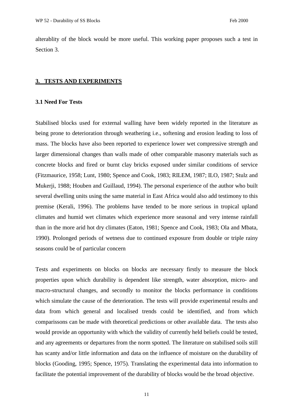alterablity of the block would be more useful. This working paper proposes such a test in Section 3.

#### **3. TESTS AND EXPERIMENTS**

#### **3.1 Need For Tests**

Stabilised blocks used for external walling have been widely reported in the literature as being prone to deterioration through weathering i.e., softening and erosion leading to loss of mass. The blocks have also been reported to experience lower wet compressive strength and larger dimensional changes than walls made of other comparable masonry materials such as concrete blocks and fired or burnt clay bricks exposed under similar conditions of service (Fitzmaurice, 1958; Lunt, 1980; Spence and Cook, 1983; RILEM, 1987; ILO, 1987; Stulz and Mukerji, 1988; Houben and Guillaud, 1994). The personal experience of the author who built several dwelling units using the same material in East Africa would also add testimony to this premise (Kerali, 1996). The problems have tended to be more serious in tropical upland climates and humid wet climates which experience more seasonal and very intense rainfall than in the more arid hot dry climates (Eaton, 1981; Spence and Cook, 1983; Ola and Mbata, 1990). Prolonged periods of wetness due to continued exposure from double or triple rainy seasons could be of particular concern

Tests and experiments on blocks on blocks are necessary firstly to measure the block properties upon which durability is dependent like strength, water absorption, micro- and macro-structural changes, and secondly to monitor the blocks performance in conditions which simulate the cause of the deterioration. The tests will provide experimental results and data from which general and localised trends could be identified, and from which comparissons can be made with theoretical predictions or other available data. The tests also would provide an opportunity with which the validity of currently held beliefs could be tested, and any agreements or departures from the norm spotted. The literature on stabilised soils still has scanty and/or little information and data on the influence of moisture on the durability of blocks (Gooding, 1995; Spence, 1975). Translating the experimental data into information to facilitate the potential improvement of the durability of blocks would be the broad objective.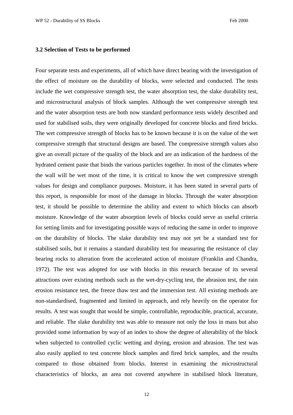#### **3.2 Selection of Tests to be performed**

Four separate tests and experiments, all of which have direct bearing with the investigation of the effect of moisture on the durability of blocks, were selected and conducted. The tests include the wet compressive strength test, the water absorption test, the slake durability test, and microstructural analysis of block samples. Although the wet compressive strength test and the water absorption tests are both now standard performance tests widely described and used for stabilised soils, they were originally developed for concrete blocks and fired bricks. The wet compressive strength of blocks has to be known because it is on the value of the wet compressive strength that structural designs are based. The compressive strength values also give an overall picture of the quality of the block and are an indication of the hardness of the hydrated cement paste that binds the various particles together. In most of the climates where the wall will be wet most of the time, it is critical to know the wet compressive strength values for design and compliance purposes. Moisture, it has been stated in several parts of this report, is responsible for most of the damage in blocks. Through the water absorption test, it should be possible to determine the ability and extent to which blocks can absorb moisture. Knowledge of the water absorption levels of blocks could serve as useful criteria for setting limits and for investigating possible ways of reducing the same in order to improve on the durability of blocks. The slake durability test may not yet be a standard test for stabilised soils, but it remains a standard durability test for measuring the resistance of clay bearing rocks to alteration from the accelerated action of moisture (Franklin and Chandra, 1972). The test was adopted for use with blocks in this research because of its several attractions over existing methods such as the wet-dry-cycling test, the abrasion test, the rain erosion resistance test, the freeze thaw test and the immersion test. All existing methods are non-standardised, fragmented and limited in approach, and rely heavily on the operator for results. A test was sought that would be simple, controllable, reproducible, practical, accurate, and reliable. The slake durability test was able to measure not only the loss in mass but also provided some information by way of an index to show the degree of alterability of the block when subjected to controlled cyclic wetting and drying, erosion and abrasion. The test was also easily applied to test concrete block samples and fired brick samples, and the results compared to those obtained from blocks. Interest in examining the microstructural characteristics of blocks, an area not covered anywhere in stabilised block literature,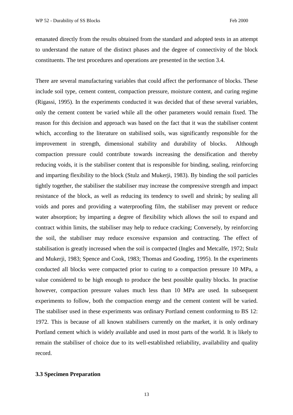emanated directly from the results obtained from the standard and adopted tests in an attempt to understand the nature of the distinct phases and the degree of connectivity of the block constituents. The test procedures and operations are presented in the section 3.4.

There are several manufacturing variables that could affect the performance of blocks. These include soil type, cement content, compaction pressure, moisture content, and curing regime (Rigassi, 1995). In the experiments conducted it was decided that of these several variables, only the cement content be varied while all the other parameters would remain fixed. The reason for this decision and approach was based on the fact that it was the stabiliser content which, according to the literature on stabilised soils, was significantly responsible for the improvement in strength, dimensional stability and durability of blocks. Although compaction pressure could contribute towards increasing the densification and thereby reducing voids, it is the stabiliser content that is responsible for binding, sealing, reinforcing and imparting flexibility to the block (Stulz and Mukerji, 1983). By binding the soil particles tightly together, the stabiliser the stabiliser may increase the compressive strength and impact resistance of the block, as well as reducing its tendency to swell and shrink; by sealing all voids and pores and providing a waterproofing film, the stabiliser may prevent or reduce water absorption; by imparting a degree of flexibility which allows the soil to expand and contract within limits, the stabiliser may help to reduce cracking; Conversely, by reinforcing the soil, the stabiliser may reduce excessive expansion and contracting. The effect of stabilisation is greatly increased when the soil is compacted (Ingles and Metcalfe, 1972; Stulz and Mukerji, 1983; Spence and Cook, 1983; Thomas and Gooding, 1995). In the experiments conducted all blocks were compacted prior to curing to a compaction pressure 10 MPa, a value considered to be high enough to produce the best possible quality blocks. In practise however, compaction pressure values much less than 10 MPa are used. In subsequent experiments to follow, both the compaction energy and the cement content will be varied. The stabiliser used in these experiments was ordinary Portland cement conforming to BS 12: 1972. This is because of all known stabilisers currently on the market, it is only ordinary Portland cement which is widely available and used in most parts of the world. It is likely to remain the stabiliser of choice due to its well-established reliability, availability and quality record.

#### **3.3 Specimen Preparation**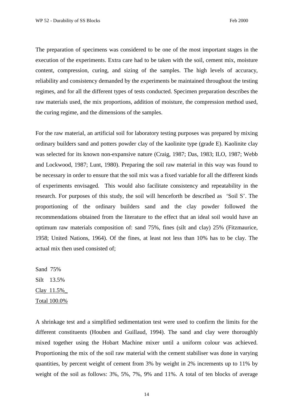The preparation of specimens was considered to be one of the most important stages in the execution of the experiments. Extra care had to be taken with the soil, cement mix, moisture content, compression, curing, and sizing of the samples. The high levels of accuracy, reliability and consistency demanded by the experiments be maintained throughout the testing regimes, and for all the different types of tests conducted. Specimen preparation describes the raw materials used, the mix proportions, addition of moisture, the compression method used, the curing regime, and the dimensions of the samples.

For the raw material, an artificial soil for laboratory testing purposes was prepared by mixing ordinary builders sand and potters powder clay of the kaolinite type (grade E). Kaolinite clay was selected for its known non-expansive nature (Craig, 1987; Das, 1983; ILO, 1987; Webb and Lockwood, 1987; Lunt, 1980). Preparing the soil raw material in this way was found to be necessary in order to ensure that the soil mix was a fixed variable for all the different kinds of experiments envisaged. This would also facilitate consistency and repeatability in the research. For purposes of this study, the soil will henceforth be described as 'Soil S'. The proportioning of the ordinary builders sand and the clay powder followed the recommendations obtained from the literature to the effect that an ideal soil would have an optimum raw materials composition of: sand 75%, fines (silt and clay) 25% (Fitzmaurice, 1958; United Nations, 1964). Of the fines, at least not less than 10% has to be clay. The actual mix then used consisted of;

Sand 75% Silt 13.5% Clay 11.5%\_ Total 100.0%

A shrinkage test and a simplified sedimentation test were used to confirm the limits for the different constituents (Houben and Guillaud, 1994). The sand and clay were thoroughly mixed together using the Hobart Machine mixer until a uniform colour was achieved. Proportioning the mix of the soil raw material with the cement stabiliser was done in varying quantities, by percent weight of cement from 3% by weight in 2% increments up to 11% by weight of the soil as follows: 3%, 5%, 7%, 9% and 11%. A total of ten blocks of average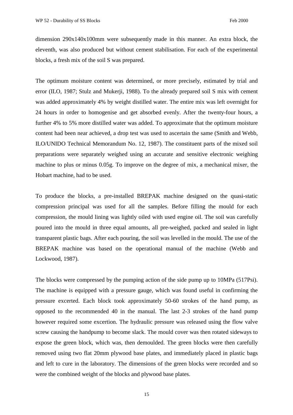dimension 290x140x100mm were subsequently made in this manner. An extra block, the eleventh, was also produced but without cement stabilisation. For each of the experimental blocks, a fresh mix of the soil S was prepared.

The optimum moisture content was determined, or more precisely, estimated by trial and error (ILO, 1987; Stulz and Mukerji, 1988). To the already prepared soil S mix with cement was added approximately 4% by weight distilled water. The entire mix was left overnight for 24 hours in order to homogenise and get absorbed evenly. After the twenty-four hours, a further 4% to 5% more distilled water was added. To approximate that the optimum moisture content had been near achieved, a drop test was used to ascertain the same (Smith and Webb, ILO/UNIDO Technical Memorandum No. 12, 1987). The constituent parts of the mixed soil preparations were separately weighed using an accurate and sensitive electronic weighing machine to plus or minus 0.05g. To improve on the degree of mix, a mechanical mixer, the Hobart machine, had to be used.

To produce the blocks, a pre-installed BREPAK machine designed on the quasi-static compression principal was used for all the samples. Before filling the mould for each compression, the mould lining was lightly oiled with used engine oil. The soil was carefully poured into the mould in three equal amounts, all pre-weighed, packed and sealed in light transparent plastic bags. After each pouring, the soil was levelled in the mould. The use of the BREPAK machine was based on the operational manual of the machine (Webb and Lockwood, 1987).

The blocks were compressed by the pumping action of the side pump up to 10MPa (517Psi). The machine is equipped with a pressure gauge, which was found useful in confirming the pressure excerted. Each block took approximately 50-60 strokes of the hand pump, as opposed to the recommended 40 in the manual. The last 2-3 strokes of the hand pump however required some excertion. The hydraulic pressure was released using the flow valve screw causing the handpump to become slack. The mould cover was then rotated sideways to expose the green block, which was, then demoulded. The green blocks were then carefully removed using two flat 20mm plywood base plates, and immediately placed in plastic bags and left to cure in the laboratory. The dimensions of the green blocks were recorded and so were the combined weight of the blocks and plywood base plates.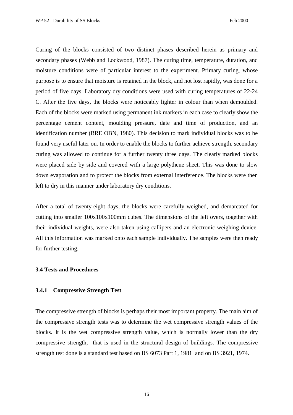Curing of the blocks consisted of two distinct phases described herein as primary and secondary phases (Webb and Lockwood, 1987). The curing time, temperature, duration, and moisture conditions were of particular interest to the experiment. Primary curing, whose purpose is to ensure that moisture is retained in the block, and not lost rapidly, was done for a period of five days. Laboratory dry conditions were used with curing temperatures of 22-24 C. After the five days, the blocks were noticeably lighter in colour than when demoulded. Each of the blocks were marked using permanent ink markers in each case to clearly show the percentage cement content, moulding pressure, date and time of production, and an identification number (BRE OBN, 1980). This decision to mark individual blocks was to be found very useful later on. In order to enable the blocks to further achieve strength, secondary curing was allowed to continue for a further twenty three days. The clearly marked blocks were placed side by side and covered with a large polythene sheet. This was done to slow down evaporation and to protect the blocks from external interference. The blocks were then left to dry in this manner under laboratory dry conditions.

After a total of twenty-eight days, the blocks were carefully weighed, and demarcated for cutting into smaller 100x100x100mm cubes. The dimensions of the left overs, together with their individual weights, were also taken using callipers and an electronic weighing device. All this information was marked onto each sample individually. The samples were then ready for further testing.

#### **3.4 Tests and Procedures**

#### **3.4.1 Compressive Strength Test**

The compressive strength of blocks is perhaps their most important property. The main aim of the compressive strength tests was to determine the wet compressive strength values of the blocks. It is the wet compressive strength value, which is normally lower than the dry compressive strength, that is used in the structural design of buildings. The compressive strength test done is a standard test based on BS 6073 Part 1, 1981 and on BS 3921, 1974.

16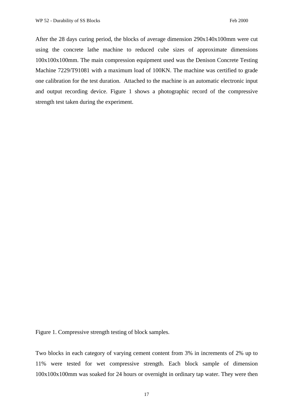After the 28 days curing period, the blocks of average dimension 290x140x100mm were cut using the concrete lathe machine to reduced cube sizes of approximate dimensions 100x100x100mm. The main compression equipment used was the Denison Concrete Testing Machine 7229/T91081 with a maximum load of 100KN. The machine was certified to grade one calibration for the test duration. Attached to the machine is an automatic electronic input and output recording device. Figure 1 shows a photographic record of the compressive strength test taken during the experiment.

Figure 1. Compressive strength testing of block samples.

Two blocks in each category of varying cement content from 3% in increments of 2% up to 11% were tested for wet compressive strength. Each block sample of dimension 100x100x100mm was soaked for 24 hours or overnight in ordinary tap water. They were then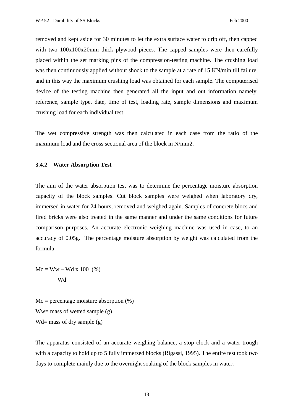removed and kept aside for 30 minutes to let the extra surface water to drip off, then capped with two  $100x100x20$ mm thick plywood pieces. The capped samples were then carefully placed within the set marking pins of the compression-testing machine. The crushing load was then continuously applied without shock to the sample at a rate of 15 KN/min till failure, and in this way the maximum crushing load was obtained for each sample. The computerised device of the testing machine then generated all the input and out information namely, reference, sample type, date, time of test, loading rate, sample dimensions and maximum crushing load for each individual test.

The wet compressive strength was then calculated in each case from the ratio of the maximum load and the cross sectional area of the block in N/mm2.

#### **3.4.2 Water Absorption Test**

The aim of the water absorption test was to determine the percentage moisture absorption capacity of the block samples. Cut block samples were weighed when laboratory dry, immersed in water for 24 hours, removed and weighed again. Samples of concrete blocs and fired bricks were also treated in the same manner and under the same conditions for future comparison purposes. An accurate electronic weighing machine was used in case, to an accuracy of 0.05g. The percentage moisture absorption by weight was calculated from the formula:

$$
Mc = \frac{Ww - Wd}{Wd} \times 100 \quad (*)
$$

 $Mc = percentage moisture absorption (%)$  $Ww =$  mass of wetted sample  $(g)$ Wd= mass of dry sample  $(g)$ 

The apparatus consisted of an accurate weighing balance, a stop clock and a water trough with a capacity to hold up to 5 fully immersed blocks (Rigassi, 1995). The entire test took two days to complete mainly due to the overnight soaking of the block samples in water.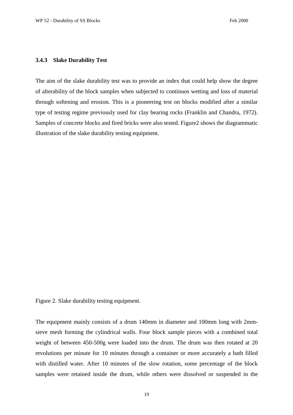#### **3.4.3 Slake Durability Test**

The aim of the slake durability test was to provide an index that could help show the degree of alterability of the block samples when subjected to continuos wetting and loss of material through softening and erosion. This is a pioneering test on blocks modified after a similar type of testing regime previously used for clay bearing rocks (Franklin and Chandra, 1972). Samples of concrete blocks and fired bricks were also tested. Figure2 shows the diagrammatic illustration of the slake durability testing equipment.

Figure 2. Slake durability testing equipment.

The equipment mainly consists of a drum 140mm in diameter and 100mm long with 2mmsieve mesh forming the cylindrical walls. Four block sample pieces with a combined total weight of between 450-500g were loaded into the drum. The drum was then rotated at 20 revolutions per minute for 10 minutes through a container or more accurately a bath filled with distilled water. After 10 minutes of the slow rotation, some percentage of the block samples were retained inside the drum, while others were dissolved or suspended in the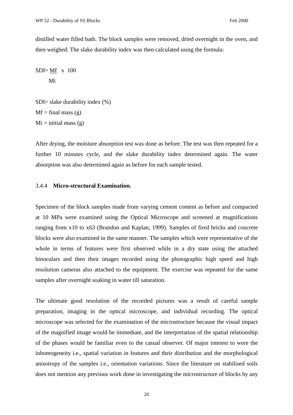distilled water filled bath. The block samples were removed, dried overnight in the oven, and then weighed. The slake durability index was then calculated using the formula:

 $SDI = Mf$  x 100 Mi

SDI= slake durability index (%)  $Mf = final mass (g)$  $Mi = initial mass(g)$ 

After drying, the moisture absorption test was done as before. The test was then repeated for a further 10 minutes cycle, and the slake durability index determined again. The water absorption was also determined again as before for each sample tested.

### 3.4.4 **Micro-structural Examination.**

Specimen of the block samples made from varying cement content as before and compacted at 10 MPa were examined using the Optical Microscope and screened at magnifications ranging from x10 to x63 (Brandon and Kaplan, 1999). Samples of fired bricks and concrete blocks were also examined in the same manner. The samples which were representative of the whole in terms of features were first observed while in a dry state using the attached binoculars and then their images recorded using the photographic high speed and high resolution cameras also attached to the equipment. The exercise was repeated for the same samples after overnight soaking in water till saturation.

The ultimate good resolution of the recorded pictures was a result of careful sample preparation, imaging in the optical microscope, and individual recording. The optical microscope was selected for the examination of the microstructure because the visual impact of the magnified image would be immediate, and the interpretation of the spatial relationship of the phases would be familiar even to the casual observer. Of major interest to were the inhomogeneity i.e., spatial variation in features and their distribution and the morphological anisotropy of the samples i.e., orientation variations. Since the literature on stabilised soils does not mention any previous work done in investigating the microstructure of blocks by any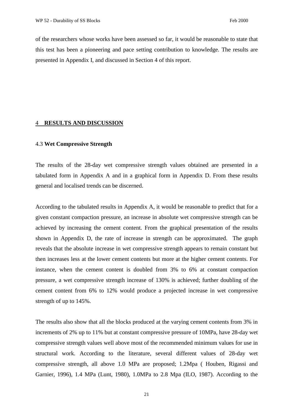of the researchers whose works have been assessed so far, it would be reasonable to state that this test has been a pioneering and pace setting contribution to knowledge. The results are presented in Appendix I, and discussed in Section 4 of this report.

#### 4 **RESULTS AND DISCUSSION**

#### 4.3 **Wet Compressive Strength**

The results of the 28-day wet compressive strength values obtained are presented in a tabulated form in Appendix A and in a graphical form in Appendix D. From these results general and localised trends can be discerned.

According to the tabulated results in Appendix A, it would be reasonable to predict that for a given constant compaction pressure, an increase in absolute wet compressive strength can be achieved by increasing the cement content. From the graphical presentation of the results shown in Appendix D, the rate of increase in strength can be approximated. The graph reveals that the absolute increase in wet compressive strength appears to remain constant but then increases less at the lower cement contents but more at the higher cement contents. For instance, when the cement content is doubled from 3% to 6% at constant compaction pressure, a wet compressive strength increase of 130% is achieved; further doubling of the cement content from 6% to 12% would produce a projected increase in wet compressive strength of up to 145%.

The results also show that all the blocks produced at the varying cement contents from 3% in increments of 2% up to 11% but at constant compressive pressure of 10MPa, have 28-day wet compressive strength values well above most of the recommended minimum values for use in structural work. According to the literature, several different values of 28-day wet compressive strength, all above 1.0 MPa are proposed; 1.2Mpa ( Houben, Rigassi and Garnier, 1996), 1.4 MPa (Lunt, 1980), 1.0MPa to 2.8 Mpa (ILO, 1987). According to the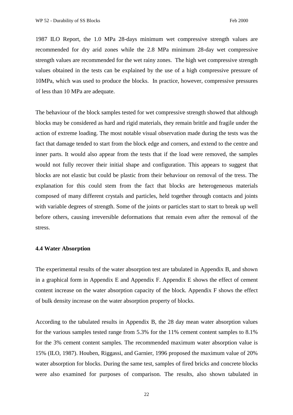1987 ILO Report, the 1.0 MPa 28-days minimum wet compressive strength values are recommended for dry arid zones while the 2.8 MPa minimum 28-day wet compressive strength values are recommended for the wet rainy zones. The high wet compressive strength values obtained in the tests can be explained by the use of a high compressive pressure of 10MPa, which was used to produce the blocks. In practice, however, compressive pressures of less than 10 MPa are adequate.

The behaviour of the block samples tested for wet compressive strength showed that although blocks may be considered as hard and rigid materials, they remain brittle and fragile under the action of extreme loading. The most notable visual observation made during the tests was the fact that damage tended to start from the block edge and corners, and extend to the centre and inner parts. It would also appear from the tests that if the load were removed, the samples would not fully recover their initial shape and configuration. This appears to suggest that blocks are not elastic but could be plastic from their behaviour on removal of the tress. The explanation for this could stem from the fact that blocks are heterogeneous materials composed of many different crystals and particles, held together through contacts and joints with variable degrees of strength. Some of the joints or particles start to start to break up well before others, causing irreversible deformations that remain even after the removal of the stress.

#### **4.4 Water Absorption**

The experimental results of the water absorption test are tabulated in Appendix B, and shown in a graphical form in Appendix E and Appendix F. Appendix E shows the effect of cement content increase on the water absorption capacity of the block. Appendix F shows the effect of bulk density increase on the water absorption property of blocks.

According to the tabulated results in Appendix B, the 28 day mean water absorption values for the various samples tested range from 5.3% for the 11% cement content samples to 8.1% for the 3% cement content samples. The recommended maximum water absorption value is 15% (ILO, 1987). Houben, Riggassi, and Garnier, 1996 proposed the maximum value of 20% water absorption for blocks. During the same test, samples of fired bricks and concrete blocks were also examined for purposes of comparison. The results, also shown tabulated in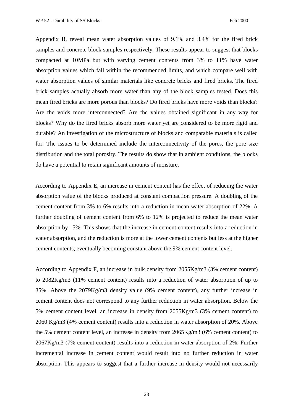Appendix B, reveal mean water absorption values of 9.1% and 3.4% for the fired brick samples and concrete block samples respectively. These results appear to suggest that blocks compacted at 10MPa but with varying cement contents from 3% to 11% have water absorption values which fall within the recommended limits, and which compare well with water absorption values of similar materials like concrete bricks and fired bricks. The fired brick samples actually absorb more water than any of the block samples tested. Does this mean fired bricks are more porous than blocks? Do fired bricks have more voids than blocks? Are the voids more interconnected? Are the values obtained significant in any way for blocks? Why do the fired bricks absorb more water yet are considered to be more rigid and durable? An investigation of the microstructure of blocks and comparable materials is called for. The issues to be determined include the interconnectivity of the pores, the pore size distribution and the total porosity. The results do show that in ambient conditions, the blocks do have a potential to retain significant amounts of moisture.

According to Appendix E, an increase in cement content has the effect of reducing the water absorption value of the blocks produced at constant compaction pressure. A doubling of the cement content from 3% to 6% results into a reduction in mean water absorption of 22%. A further doubling of cement content from 6% to 12% is projected to reduce the mean water absorption by 15%. This shows that the increase in cement content results into a reduction in water absorption, and the reduction is more at the lower cement contents but less at the higher cement contents, eventually becoming constant above the 9% cement content level.

According to Appendix F, an increase in bulk density from 2055Kg/m3 (3% cement content) to 2082Kg/m3 (11% cement content) results into a reduction of water absorption of up to 35%. Above the 2079Kg/m3 density value (9% cement content), any further increase in cement content does not correspond to any further reduction in water absorption. Below the 5% cement content level, an increase in density from 2055Kg/m3 (3% cement content) to 2060 Kg/m3 (4% cement content) results into a reduction in water absorption of 20%. Above the 5% cement content level, an increase in density from 2065Kg/m3 (6% cement content) to 2067Kg/m3 (7% cement content) results into a reduction in water absorption of 2%. Further incremental increase in cement content would result into no further reduction in water absorption. This appears to suggest that a further increase in density would not necessarily

23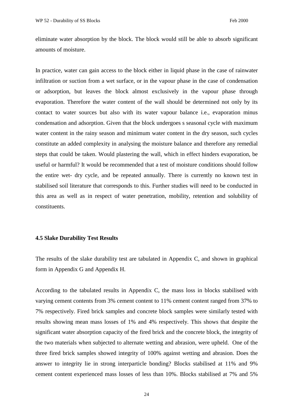eliminate water absorption by the block. The block would still be able to absorb significant amounts of moisture.

In practice, water can gain access to the block either in liquid phase in the case of rainwater infiltration or suction from a wet surface, or in the vapour phase in the case of condensation or adsorption, but leaves the block almost exclusively in the vapour phase through evaporation. Therefore the water content of the wall should be determined not only by its contact to water sources but also with its water vapour balance i.e., evaporation minus condensation and adsorption. Given that the block undergoes s seasonal cycle with maximum water content in the rainy season and minimum water content in the dry season, such cycles constitute an added complexity in analysing the moisture balance and therefore any remedial steps that could be taken. Would plastering the wall, which in effect hinders evaporation, be useful or harmful? It would be recommended that a test of moisture conditions should follow the entire wet- dry cycle, and be repeated annually. There is currently no known test in stabilised soil literature that corresponds to this. Further studies will need to be conducted in this area as well as in respect of water penetration, mobility, retention and solubility of constituents.

#### **4.5 Slake Durability Test Results**

The results of the slake durability test are tabulated in Appendix C, and shown in graphical form in Appendix G and Appendix H.

According to the tabulated results in Appendix C, the mass loss in blocks stabilised with varying cement contents from 3% cement content to 11% cement content ranged from 37% to 7% respectively. Fired brick samples and concrete block samples were similarly tested with results showing mean mass losses of 1% and 4% respectively. This shows that despite the significant water absorption capacity of the fired brick and the concrete block, the integrity of the two materials when subjected to alternate wetting and abrasion, were upheld. One of the three fired brick samples showed integrity of 100% against wetting and abrasion. Does the answer to integrity lie in strong interparticle bonding? Blocks stabilised at 11% and 9% cement content experienced mass losses of less than 10%. Blocks stabilised at 7% and 5%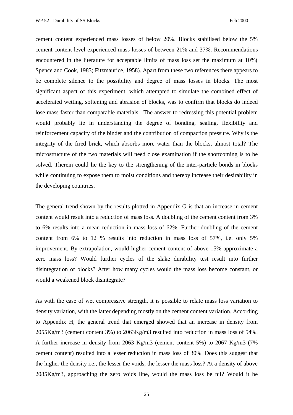cement content experienced mass losses of below 20%. Blocks stabilised below the 5% cement content level experienced mass losses of between 21% and 37%. Recommendations encountered in the literature for acceptable limits of mass loss set the maximum at 10%( Spence and Cook, 1983; Fitzmaurice, 1958). Apart from these two references there appears to be complete silence to the possibility and degree of mass losses in blocks. The most significant aspect of this experiment, which attempted to simulate the combined effect of accelerated wetting, softening and abrasion of blocks, was to confirm that blocks do indeed lose mass faster than comparable materials. The answer to redressing this potential problem would probably lie in understanding the degree of bonding, sealing, flexibility and reinforcement capacity of the binder and the contribution of compaction pressure. Why is the integrity of the fired brick, which absorbs more water than the blocks, almost total? The microstructure of the two materials will need close examination if the shortcoming is to be solved. Therein could lie the key to the strengthening of the inter-particle bonds in blocks while continuing to expose them to moist conditions and thereby increase their desirability in the developing countries.

The general trend shown by the results plotted in Appendix G is that an increase in cement content would result into a reduction of mass loss. A doubling of the cement content from 3% to 6% results into a mean reduction in mass loss of 62%. Further doubling of the cement content from 6% to 12 % results into reduction in mass loss of 57%, i.e. only 5% improvement. By extrapolation, would higher cement content of above 15% approximate a zero mass loss? Would further cycles of the slake durability test result into further disintegration of blocks? After how many cycles would the mass loss become constant, or would a weakened block disintegrate?

As with the case of wet compressive strength, it is possible to relate mass loss variation to density variation, with the latter depending mostly on the cement content variation. According to Appendix H, the general trend that emerged showed that an increase in density from 2055Kg/m3 (cement content 3%) to 2063Kg/m3 resulted into reduction in mass loss of 54%. A further increase in density from 2063 Kg/m3 (cement content 5%) to 2067 Kg/m3 (7% cement content) resulted into a lesser reduction in mass loss of 30%. Does this suggest that the higher the density i.e., the lesser the voids, the lesser the mass loss? At a density of above 2085Kg/m3, approaching the zero voids line, would the mass loss be nil? Would it be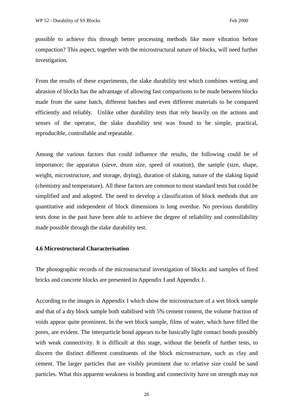possible to achieve this through better processing methods like more vibration before compaction? This aspect, together with the microstructural nature of blocks, will need further investigation.

From the results of these experiments, the slake durability test which combines wetting and abrasion of blocks has the advantage of allowing fast comparisons to be made between blocks made from the same batch, different batches and even different materials to be compared efficiently and reliably. Unlike other durability tests that rely heavily on the actions and senses of the operator, the slake durability test was found to be simple, practical, reproducible, controllable and repeatable.

Among the various factors that could influence the results, the following could be of importance; the apparatus (sieve, drum size, speed of rotation), the sample (size, shape, weight, microstructure, and storage, drying), duration of slaking, nature of the slaking liquid (chemistry and temperature). All these factors are common to most standard tests but could be simplified and and adopted. The need to develop a classification of block methods that are quantitative and independent of block dimensions is long overdue. No previous durability tests done in the past have been able to achieve the degree of reliability and controllability made possible through the slake durability test.

#### **4.6 Microstructural Characterisation**

The photographic records of the microstructural investigation of blocks and samples of fired bricks and concrete blocks are presented in Appendix I and Appendix J.

According to the images in Appendix I which show the microstructure of a wet block sample and that of a dry block sample both stabilised with 5% cement content, the volume fraction of voids appear quite prominent. In the wet block sample, films of water, which have filled the pores, are evident. The interparticle bond appears to be basically light contact bonds possibly with weak connectivity. It is difficult at this stage, without the benefit of further tests, to discern the distinct different constituents of the block microstructure, such as clay and cement. The larger particles that are visibly prominent due to relative size could be sand particles. What this apparent weakness in bonding and connectivity have on strength may not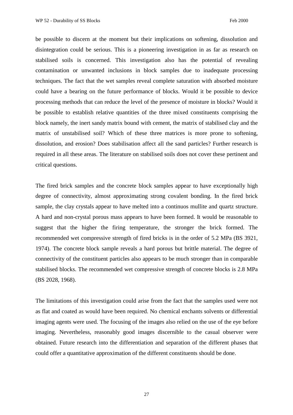be possible to discern at the moment but their implications on softening, dissolution and disintegration could be serious. This is a pioneering investigation in as far as research on stabilised soils is concerned. This investigation also has the potential of revealing contamination or unwanted inclusions in block samples due to inadequate processing techniques. The fact that the wet samples reveal complete saturation with absorbed moisture could have a bearing on the future performance of blocks. Would it be possible to device processing methods that can reduce the level of the presence of moisture in blocks? Would it be possible to establish relative quantities of the three mixed constituents comprising the block namely, the inert sandy matrix bound with cement, the matrix of stabilised clay and the matrix of unstabilised soil? Which of these three matrices is more prone to softening, dissolution, and erosion? Does stabilisation affect all the sand particles? Further research is required in all these areas. The literature on stabilised soils does not cover these pertinent and critical questions.

The fired brick samples and the concrete block samples appear to have exceptionally high degree of connectivity, almost approximating strong covalent bonding. In the fired brick sample, the clay crystals appear to have melted into a continuos mullite and quartz structure. A hard and non-crystal porous mass appears to have been formed. It would be reasonable to suggest that the higher the firing temperature, the stronger the brick formed. The recommended wet compressive strength of fired bricks is in the order of 5.2 MPa (BS 3921, 1974). The concrete block sample reveals a hard porous but brittle material. The degree of connectivity of the constituent particles also appears to be much stronger than in comparable stabilised blocks. The recommended wet compressive strength of concrete blocks is 2.8 MPa (BS 2028, 1968).

The limitations of this investigation could arise from the fact that the samples used were not as flat and coated as would have been required. No chemical enchants solvents or differential imaging agents were used. The focusing of the images also relied on the use of the eye before imaging. Nevertheless, reasonably good images discernible to the casual observer were obtained. Future research into the differentiation and separation of the different phases that could offer a quantitative approximation of the different constituents should be done.

27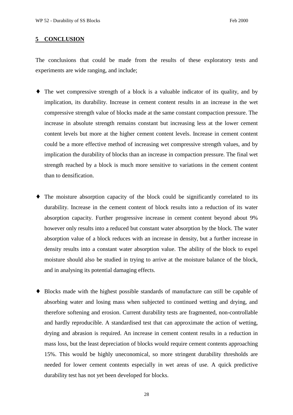#### **5 CONCLUSION**

The conclusions that could be made from the results of these exploratory tests and experiments are wide ranging, and include;

- ♦ The wet compressive strength of a block is a valuable indicator of its quality, and by implication, its durability. Increase in cement content results in an increase in the wet compressive strength value of blocks made at the same constant compaction pressure. The increase in absolute strength remains constant but increasing less at the lower cement content levels but more at the higher cement content levels. Increase in cement content could be a more effective method of increasing wet compressive strength values, and by implication the durability of blocks than an increase in compaction pressure. The final wet strength reached by a block is much more sensitive to variations in the cement content than to densification.
- ♦ The moisture absorption capacity of the block could be significantly correlated to its durability. Increase in the cement content of block results into a reduction of its water absorption capacity. Further progressive increase in cement content beyond about 9% however only results into a reduced but constant water absorption by the block. The water absorption value of a block reduces with an increase in density, but a further increase in density results into a constant water absorption value. The ability of the block to expel moisture should also be studied in trying to arrive at the moisture balance of the block, and in analysing its potential damaging effects.
- ♦ Blocks made with the highest possible standards of manufacture can still be capable of absorbing water and losing mass when subjected to continued wetting and drying, and therefore softening and erosion. Current durability tests are fragmented, non-controllable and hardly reproducible. A standardised test that can approximate the action of wetting, drying and abrasion is required. An increase in cement content results in a reduction in mass loss, but the least depreciation of blocks would require cement contents approaching 15%. This would be highly uneconomical, so more stringent durability thresholds are needed for lower cement contents especially in wet areas of use. A quick predictive durability test has not yet been developed for blocks.